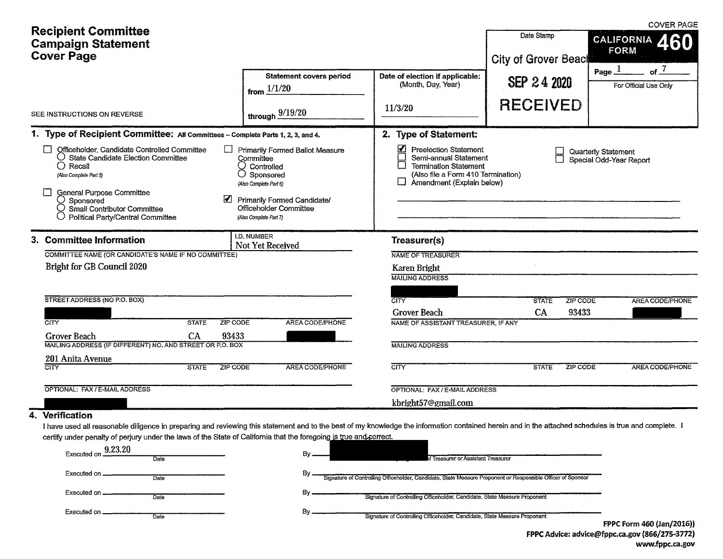| <b>Recipient Committee</b><br><b>Campaign Statement</b><br><b>Cover Page</b>                                                                                                                                                                                                                                                                                      |                                                                                                                                                                                                        |                                                                                                                                                                                                    | Date Stamp<br><b>City of Grover Beach</b> | <b>COVER PAGE</b><br><b>CALIFORNIA</b><br><b>FORM</b>  |
|-------------------------------------------------------------------------------------------------------------------------------------------------------------------------------------------------------------------------------------------------------------------------------------------------------------------------------------------------------------------|--------------------------------------------------------------------------------------------------------------------------------------------------------------------------------------------------------|----------------------------------------------------------------------------------------------------------------------------------------------------------------------------------------------------|-------------------------------------------|--------------------------------------------------------|
|                                                                                                                                                                                                                                                                                                                                                                   | <b>Statement covers period</b><br>from $1/1/20$                                                                                                                                                        | Date of election if applicable:<br>(Month, Day, Year)<br>11/3/20                                                                                                                                   | SEP 24 2020<br><b>RECEIVED</b>            | Page $\frac{1}{2}$<br>of $^7$<br>For Official Use Only |
| SEE INSTRUCTIONS ON REVERSE                                                                                                                                                                                                                                                                                                                                       | through $\frac{9/19/20}{ }$                                                                                                                                                                            |                                                                                                                                                                                                    |                                           |                                                        |
| 1. Type of Recipient Committee: All Committees - Complete Parts 1, 2, 3, and 4.<br>Officeholder, Candidate Controlled Committee<br>$\bigcirc$ State Candidate Election Committee<br>$\bigcirc$ Recall<br>(Also Complete Part 5)<br>General Purpose Committee<br>$\supset$ Sponsored<br>$\supset$ Small Contributor Committee<br>Political Party/Central Committee | <b>Primarily Formed Ballot Measure</b><br>Committee<br>Controlled<br>$\bigcirc$ Sponsored<br>(Also Complete Part 6)<br>Primarily Formed Candidate/<br>Officeholder Committee<br>(Also Complete Part 7) | 2. Type of Statement:<br>$\Delta$<br><b>Preelection Statement</b><br>Semi-annual Statement<br>⊓<br><b>Termination Statement</b><br>(Also file a Form 410 Termination)<br>Amendment (Explain below) |                                           | Quarterly Statement<br>Special Odd-Year Report         |
| 3. Committee Information<br>COMMITTEE NAME (OR CANDIDATE'S NAME IF NO COMMITTEE)<br>Bright for GB Council 2020                                                                                                                                                                                                                                                    | <b>I.D. NUMBER</b><br>Not Yet Received                                                                                                                                                                 | Treasurer(s)<br>NAME OF TREASURER<br>Karen Bright<br><b>MAILING ADDRESS</b>                                                                                                                        |                                           |                                                        |
| STREET ADDRESS (NO P.O. BOX)                                                                                                                                                                                                                                                                                                                                      |                                                                                                                                                                                                        | CITY                                                                                                                                                                                               | ZIP CODE<br><b>STATE</b>                  | <b>AREA CODE/PHONE</b>                                 |
| ZIP CODE<br><b>CITY</b><br><b>STATE</b><br>CA<br>93433<br><b>Grover Beach</b><br>MAILING ADDRESS (IF DIFFERENT) NO. AND STREET OR P.O. BOX                                                                                                                                                                                                                        | AREA CODE/PHONE                                                                                                                                                                                        | Grover Beach<br>NAME OF ASSISTANT TREASURER, IF ANY<br><b>MAILING ADDRESS</b>                                                                                                                      | CA<br>93433                               |                                                        |
| 201 Anita Avenue<br>CITY<br><b>STATE</b><br><b>ZIP CODE</b>                                                                                                                                                                                                                                                                                                       | <b>AREA CODE/PHONE</b>                                                                                                                                                                                 | CITY                                                                                                                                                                                               | ZIP CODE<br><b>STATE</b>                  | AREA CODE/PHONE                                        |
| OPTIONAL: FAX / E-MAIL ADDRESS                                                                                                                                                                                                                                                                                                                                    |                                                                                                                                                                                                        | OPTIONAL: FAX / E-MAIL ADDRESS                                                                                                                                                                     |                                           |                                                        |
|                                                                                                                                                                                                                                                                                                                                                                   |                                                                                                                                                                                                        | kbright57@gmail.com                                                                                                                                                                                |                                           |                                                        |

#### 4. Verification

I have used all reasonable diligence in preparing and reviewing this statement and to the best of my knowledge the information contained herein and in the attached schedules is true and complete. I certify under penalty of perjury under the laws of the State of California that the foregoing is true and correct.

| 9.23.20<br>Executed on.<br>Date | Bv. | of Treasurer or Assistant Treasurer                                                                         |
|---------------------------------|-----|-------------------------------------------------------------------------------------------------------------|
| Executed on<br>Date             | Bv  | Signature of Controlling Officeholder, Candidate, State Measure Proponent or Responsible Officer of Sponsor |
| Executed on _<br>Date           |     | Signature of Controlling Officeholder, Candidate, State Measure Proponent                                   |
| Executed on _<br>Date           |     | Signature of Controlling Officeholder, Candidate, State Measure Proponent                                   |
|                                 |     | FPPC Form 460 (Jan/2016))                                                                                   |

FPPC Advice: advice@fppc.ca.gov (866/275-3772) www.fppc.ca.gov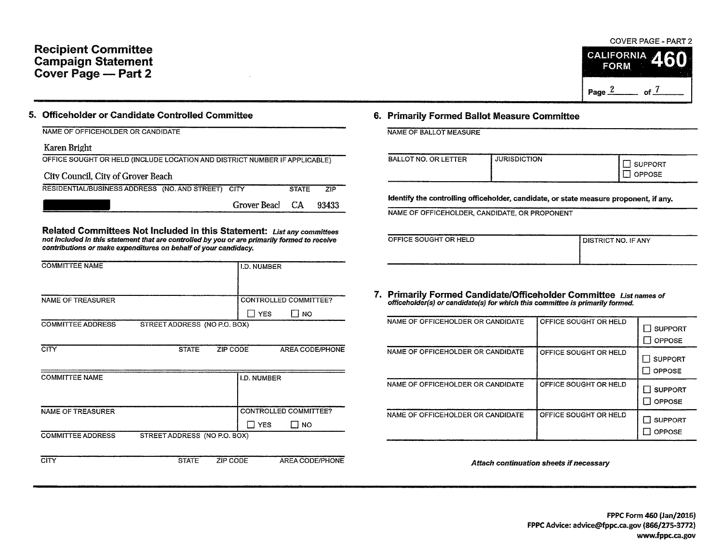# Recipient Committee Campaign Statement Cover Page - Part 2

COVER PAGE - PART 2 **CALIFORNIA FORM** 

of  $\frac{7}{2}$ 

Page  $2$ 

| 5. Officeholder or Candidate Controlled Committee |
|---------------------------------------------------|
|---------------------------------------------------|

| NAME OF OFFICEHOLDER OR CANDIDATE |  |  |  |  |
|-----------------------------------|--|--|--|--|

### Karen Bright

| OFFICE SOUGHT OR HELD (INCLUDE LOCATION AND DISTRICT NUMBER IF APPLICABLE) |                 |              |       |  |  |  |  |  |
|----------------------------------------------------------------------------|-----------------|--------------|-------|--|--|--|--|--|
| City Council. City of Grover Beach                                         |                 |              |       |  |  |  |  |  |
| RESIDENTIAL/BUSINESS ADDRESS (NO. AND STREET) CITY                         |                 | <b>STATE</b> | ZIP.  |  |  |  |  |  |
|                                                                            | Grover Beacl CA |              | 93433 |  |  |  |  |  |

Related Committees Not Included in this Statement: List any committees not included in this statement that are controlled by you or are primarily formed to receive contributions or make expenditures on behalf of your candidacy.

| <b>COMMITTEE NAME</b>    |                              |          | I.D. NUMBER        |                       |
|--------------------------|------------------------------|----------|--------------------|-----------------------|
|                          |                              |          |                    |                       |
| NAME OF TREASURER        |                              |          |                    | CONTROLLED COMMITTEE? |
|                          |                              |          | $\Box$ YES         | I NO                  |
| <b>COMMITTEE ADDRESS</b> | STREET ADDRESS (NO P.O. BOX) |          |                    |                       |
|                          |                              |          |                    |                       |
| <b>CITY</b>              | <b>STATE</b>                 | ZIP CODE |                    | AREA CODE/PHONE       |
|                          |                              |          |                    |                       |
| <b>COMMITTEE NAME</b>    |                              |          | <b>I.D. NUMBER</b> |                       |
|                          |                              |          |                    |                       |
|                          |                              |          |                    |                       |
| <b>NAME OF TREASURER</b> |                              |          |                    | CONTROLLED COMMITTEE? |
|                          |                              |          | $\exists$ YES      | $\Box$ No             |
| <b>COMMITTEE ADDRESS</b> | STREET ADDRESS (NO P.O. BOX) |          |                    |                       |
|                          |                              |          |                    |                       |
| <b>CITY</b>              | <b>STATE</b>                 | ZIP CODE |                    | AREA CODE/PHONE       |

## 6. Primarily Formed Ballot Measure Committee

|  | NAME OF BALLOT MEASURE |  |
|--|------------------------|--|
|  |                        |  |

| <b>BALLOT NO. OR LETTER</b> | .<br><b>JURISDICTION</b> | SUPPORT<br>OPPOSE |
|-----------------------------|--------------------------|-------------------|
|-----------------------------|--------------------------|-------------------|

Identify the controlling officeholder, candidate, or state measure proponent, if any.

NAME OF OFFICEHOLDER, CANDIDATE, OR PROPONENT

| OFFICE SOUGHT OR HELD | <b>I DISTRICT NO. IF ANY</b> |
|-----------------------|------------------------------|
|                       |                              |
|                       |                              |

#### 7. Primarily Formed Candidate/Officeholder Committee List names of officeholder(s) or candidate(s} for which this committee is primarily formed.

| NAME OF OFFICEHOLDER OR CANDIDATE | OFFICE SOUGHT OR HELD | <b>SUPPORT</b><br><b>OPPOSE</b> |
|-----------------------------------|-----------------------|---------------------------------|
| NAME OF OFFICEHOLDER OR CANDIDATE | OFFICE SOUGHT OR HELD | <b>SUPPORT</b><br>OPPOSE        |
| NAME OF OFFICEHOLDER OR CANDIDATE | OFFICE SOUGHT OR HELD | <b>SUPPORT</b><br>OPPOSE        |
| NAME OF OFFICEHOLDER OR CANDIDATE | OFFICE SOUGHT OR HELD | <b>SUPPORT</b><br>OPPOSE        |

Attach continuation sheets if necessary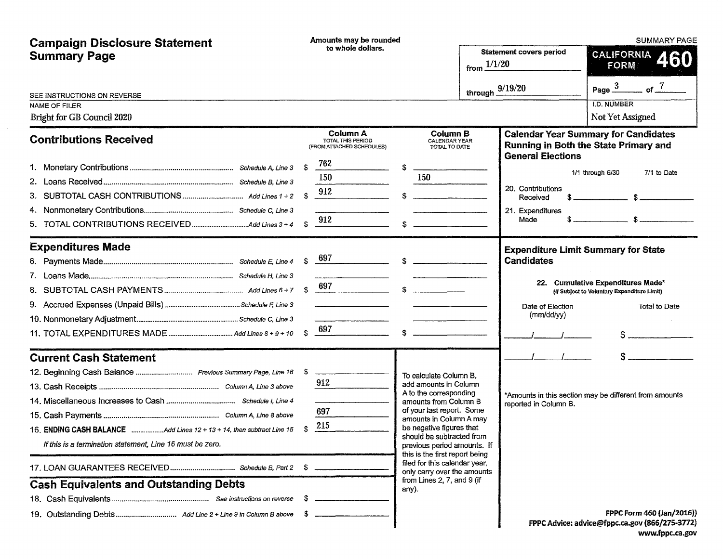| <b>Campaign Disclosure Statement</b>                       |                                    | Amounts may be rounded                                                                                                                                                        |              |                                                                                                                                                                       |                                | <b>SUMMARY PAGE</b>                                                                   |                                                                                            |  |  |
|------------------------------------------------------------|------------------------------------|-------------------------------------------------------------------------------------------------------------------------------------------------------------------------------|--------------|-----------------------------------------------------------------------------------------------------------------------------------------------------------------------|--------------------------------|---------------------------------------------------------------------------------------|--------------------------------------------------------------------------------------------|--|--|
| <b>Summary Page</b>                                        | to whole dollars.<br>from $1/1/20$ |                                                                                                                                                                               |              |                                                                                                                                                                       | <b>Statement covers period</b> | CALIFORNIA<br><b>FORM</b>                                                             |                                                                                            |  |  |
| SEE INSTRUCTIONS ON REVERSE<br><b>NAME OF FILER</b>        |                                    |                                                                                                                                                                               |              |                                                                                                                                                                       | through $\frac{9/19}{20}$      |                                                                                       | $\mathsf{cf}$ 7<br>Page $\frac{3}{2}$<br>I.D. NUMBER                                       |  |  |
| Bright for GB Council 2020                                 |                                    |                                                                                                                                                                               |              |                                                                                                                                                                       |                                |                                                                                       | Not Yet Assigned                                                                           |  |  |
| <b>Contributions Received</b>                              |                                    | <b>Column A</b><br>TOTAL THIS PERIOD<br>(FROM ATTACHED SCHEDULES)                                                                                                             |              | <b>Column B</b><br>CALENDAR YEAR<br>TOTAL TO DATE                                                                                                                     |                                |                                                                                       | <b>Calendar Year Summary for Candidates</b><br>Running in Both the State Primary and       |  |  |
|                                                            | \$<br>-S<br>S.                     | 762<br>150<br>912<br>912                                                                                                                                                      | $\mathbf{s}$ | 150                                                                                                                                                                   |                                | <b>General Elections</b><br>20. Contributions<br>Received<br>21. Expenditures<br>Made | $1/1$ through $6/30$<br>7/1 to Date<br>$\mathcal{R}$<br>$\sim$ $\sim$ $\sim$ $\sim$ $\sim$ |  |  |
| <b>Expenditures Made</b>                                   |                                    | $$^{697}$                                                                                                                                                                     |              |                                                                                                                                                                       |                                | <b>Expenditure Limit Summary for State</b><br><b>Candidates</b>                       | 22. Cumulative Expenditures Made*                                                          |  |  |
|                                                            | $\mathbf{S}$<br>$\mathbf{S}$       | 697<br><u> 1980 - Johann Barn, mars an t-Amerikaansk ferske</u><br>697<br>$\overline{\phantom{a}}$ $\overline{\phantom{a}}$ $\overline{\phantom{a}}$ $\overline{\phantom{a}}$ |              | $\sim$                                                                                                                                                                |                                | Date of Election<br>(mm/dd/yy)                                                        | (If Subject to Voluntary Expenditure Limit)<br>Total to Date                               |  |  |
| <b>Current Cash Statement</b>                              |                                    |                                                                                                                                                                               |              |                                                                                                                                                                       |                                |                                                                                       |                                                                                            |  |  |
| 12. Beginning Cash Balance  Previous Summary Page, Line 16 | - \$                               | 912                                                                                                                                                                           |              | To calculate Column B.<br>add amounts in Column<br>A to the corresponding                                                                                             |                                |                                                                                       | *Amounts in this section may be different from amounts                                     |  |  |
| If this is a termination statement, Line 16 must be zero.  | \$                                 | 697<br>215                                                                                                                                                                    |              | amounts from Column B<br>of your last report. Some<br>amounts in Column A may<br>be negative figures that<br>should be subtracted from<br>previous period amounts. If |                                | reported in Column B.                                                                 |                                                                                            |  |  |
|                                                            |                                    |                                                                                                                                                                               |              | this is the first report being<br>filed for this calendar year,<br>only carry over the amounts                                                                        |                                |                                                                                       |                                                                                            |  |  |
| <b>Cash Equivalents and Outstanding Debts</b>              |                                    |                                                                                                                                                                               |              | from Lines 2, 7, and 9 (if<br>any).                                                                                                                                   |                                |                                                                                       |                                                                                            |  |  |
|                                                            |                                    |                                                                                                                                                                               |              |                                                                                                                                                                       |                                |                                                                                       | FPPC Form 460 (Jan/2016))                                                                  |  |  |
|                                                            |                                    |                                                                                                                                                                               |              |                                                                                                                                                                       |                                |                                                                                       | FPPC Advice: advice@fppc.ca.gov (866/275-3772)                                             |  |  |

 $\mathcal{A}^{\text{out}}$ 

www.fppc.ca.gov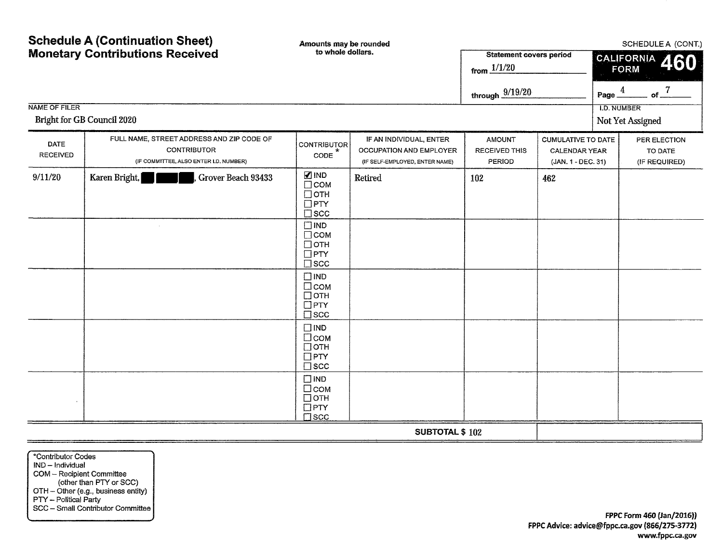| <b>NAME OF FILER</b>    | <b>Schedule A (Continuation Sheet)</b><br><b>Monetary Contributions Received</b><br>Bright for GB Council 2020 | Amounts may be rounded<br>to whole dollars.                                                                                                                                                                                                                                                                                                                                   |                                                                                      | <b>Statement covers period</b><br>from $1/1/20$<br>through $\frac{9/19/20}{ }$ |                                                                  | Page_<br><b>I.D. NUMBER</b> | SCHEDULE A (CONT.)<br>CALIFORNIA<br>460<br><b>FORM</b><br>$\overline{4}$<br>of $\frac{7}{2}$<br>Not Yet Assigned |
|-------------------------|----------------------------------------------------------------------------------------------------------------|-------------------------------------------------------------------------------------------------------------------------------------------------------------------------------------------------------------------------------------------------------------------------------------------------------------------------------------------------------------------------------|--------------------------------------------------------------------------------------|--------------------------------------------------------------------------------|------------------------------------------------------------------|-----------------------------|------------------------------------------------------------------------------------------------------------------|
| DATE<br><b>RECEIVED</b> | FULL NAME, STREET ADDRESS AND ZIP CODE OF<br><b>CONTRIBUTOR</b><br>(IF COMMITTEE, ALSO ENTER I.D. NUMBER)      | <b>CONTRIBUTOR</b><br>CODE                                                                                                                                                                                                                                                                                                                                                    | IF AN INDIVIDUAL, ENTER<br>OCCUPATION AND EMPLOYER<br>(IF SELF-EMPLOYED, ENTER NAME) | <b>AMOUNT</b><br><b>RECEIVED THIS</b><br>PERIOD                                | <b>CUMULATIVE TO DATE</b><br>CALENDAR YEAR<br>(JAN. 1 - DEC. 31) |                             | PER ELECTION<br>TO DATE<br>(IF REQUIRED)                                                                         |
| 9/11/20                 | Karen Bright,<br>Grover Beach 93433                                                                            | $\n  IND\n$<br>$\Box$ COM<br>$\Box$ OTH<br>$\Box$ PTY<br>$\square$ scc<br>$\square$ IND<br>$\Box$ COM<br>$\Box$ OTH<br>$\Box$ PTY<br>$\square$ scc<br>$\square$ IND<br>$\Box$ COM<br>$\Box$ OTH<br>$\Box$ PTY<br>$\square$ scc<br>$\square$ IND<br>□сом<br>$\Box$ OTH<br>$\Box$ PTY<br>$\square$ scc<br>$\Box$ IND<br>$\Box$ COM<br>$\Box$ OTH<br>$\Box$ PTY<br>$\square$ scc | Retired                                                                              | 102                                                                            | 462                                                              |                             |                                                                                                                  |
|                         |                                                                                                                |                                                                                                                                                                                                                                                                                                                                                                               | <b>SUBTOTAL \$102</b>                                                                |                                                                                |                                                                  |                             |                                                                                                                  |

\*Contributor Codes IND - Individual COM - Recipient Committee (other than PTY or SCC) OTH - Other (e.g., business entity) PTY - Political Party SCC - Small Contributor Committee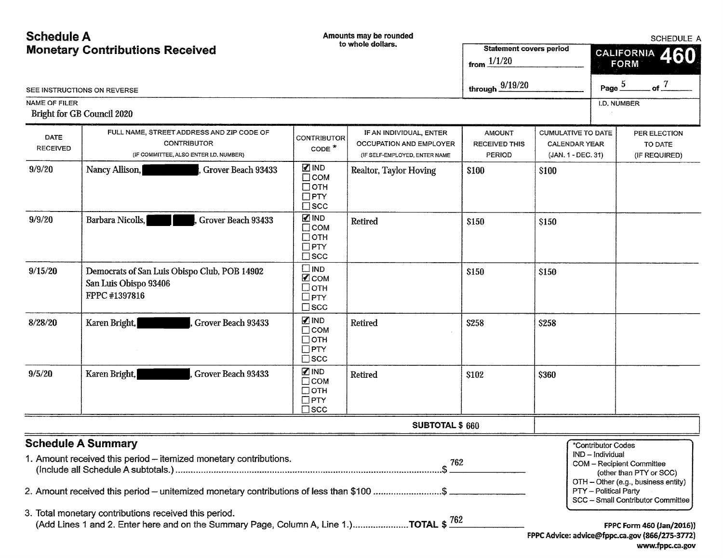| <b>Schedule A</b>                      |                                                                                                                                                                                            |                                                                               | Amounts may be rounded                                                              | <b>SCHEDULE A</b>                               |                                                                  |                                                                 |                                                                                                                                     |  |
|----------------------------------------|--------------------------------------------------------------------------------------------------------------------------------------------------------------------------------------------|-------------------------------------------------------------------------------|-------------------------------------------------------------------------------------|-------------------------------------------------|------------------------------------------------------------------|-----------------------------------------------------------------|-------------------------------------------------------------------------------------------------------------------------------------|--|
| <b>Monetary Contributions Received</b> |                                                                                                                                                                                            | to whole dollars.                                                             |                                                                                     | <b>Statement covers period</b><br>from $1/1/20$ |                                                                  |                                                                 | <b>CALIFORNIA</b><br>460<br><b>FORM</b>                                                                                             |  |
|                                        | SEE INSTRUCTIONS ON REVERSE                                                                                                                                                                |                                                                               |                                                                                     | through $\frac{9/19/20}{2}$                     |                                                                  |                                                                 | Page $\frac{5}{5}$<br>of $\frac{7}{5}$                                                                                              |  |
| <b>NAME OF FILER</b>                   | Bright for GB Council 2020                                                                                                                                                                 |                                                                               |                                                                                     |                                                 |                                                                  |                                                                 | <b>I.D. NUMBER</b>                                                                                                                  |  |
| <b>DATE</b><br><b>RECEIVED</b>         | FULL NAME, STREET ADDRESS AND ZIP CODE OF<br><b>CONTRIBUTOR</b><br>(IF COMMITTEE, ALSO ENTER I.D. NUMBER)                                                                                  | <b>CONTRIBUTOR</b><br>$CODE$ <sup>*</sup>                                     | IF AN INDIVIDUAL, ENTER<br>OCCUPATION AND EMPLOYER<br>(IF SELF-EMPLOYED, ENTER NAME | <b>AMOUNT</b><br><b>RECEIVED THIS</b><br>PERIOD | CUMULATIVE TO DATE<br><b>CALENDAR YEAR</b><br>(JAN. 1 - DEC. 31) |                                                                 | PER ELECTION<br>TO DATE<br>(IF REQUIRED)                                                                                            |  |
| 9/9/20                                 | Nancy Allison,<br>Grover Beach 93433                                                                                                                                                       | $\mathbb Z$ IND<br>$\Box$ COM<br>$\Box$ OTH<br>$\Box$ PTY<br>$\square$ scc    | Realtor, Taylor Hoving                                                              | \$100                                           | \$100                                                            |                                                                 |                                                                                                                                     |  |
| 9/9/20                                 | Barbara Nicolls,<br>Grover Beach 93433                                                                                                                                                     | $\blacksquare$ IND<br>$\Box$ COM<br>$\Box$ OTH<br>$\Box$ PTY<br>$\square$ scc | Retired                                                                             | \$150                                           | \$150                                                            |                                                                 |                                                                                                                                     |  |
| 9/15/20                                | Democrats of San Luis Obispo Club, POB 14902<br>San Luis Obispo 93406<br>FPPC #1397816                                                                                                     | $\square$ IND<br><b>Z</b> COM<br>□отн<br>$\Box$ PTY<br>$\square$ scc          |                                                                                     | \$150                                           | \$150                                                            |                                                                 |                                                                                                                                     |  |
| 8/28/20                                | Karen Bright,<br>Grover Beach 93433                                                                                                                                                        | <b>√</b> IND<br>$\Box$ COM<br>$\Box$ OTH<br>$\Box$ PTY<br>$\square$ scc       | Retired                                                                             | \$258                                           | \$258                                                            |                                                                 |                                                                                                                                     |  |
| 9/5/20                                 | Grover Beach 93433<br>Karen Bright,                                                                                                                                                        | $\blacksquare$ IND<br>$\Box$ COM<br>$\Box$ OTH<br>$\Box$ PTY<br>$\square$ scc | Retired                                                                             | \$102                                           | \$360                                                            |                                                                 |                                                                                                                                     |  |
|                                        |                                                                                                                                                                                            |                                                                               | <b>SUBTOTAL \$660</b>                                                               |                                                 |                                                                  |                                                                 |                                                                                                                                     |  |
|                                        | <b>Schedule A Summary</b><br>1. Amount received this period - itemized monetary contributions.<br>2. Amount received this period – unitemized monetary contributions of less than \$100 \$ |                                                                               | 762                                                                                 |                                                 |                                                                  | *Contributor Codes<br>IND - Individual<br>PTY - Political Party | COM - Recipient Committee<br>(other than PTY or SCC)<br>OTH - Other (e.g., business entity)                                         |  |
|                                        | 3. Total monetary contributions received this period.<br>(Add Lines 1 and 2. Enter here and on the Summary Page, Column A, Line 1.)TOTAL $$762$                                            |                                                                               |                                                                                     |                                                 |                                                                  |                                                                 | SCC - Small Contributor Committee<br>FPPC Form 460 (Jan/2016))<br>FPPC Advice: advice@fppc.ca.gov (866/275-3772)<br>www.fppc.ca.gov |  |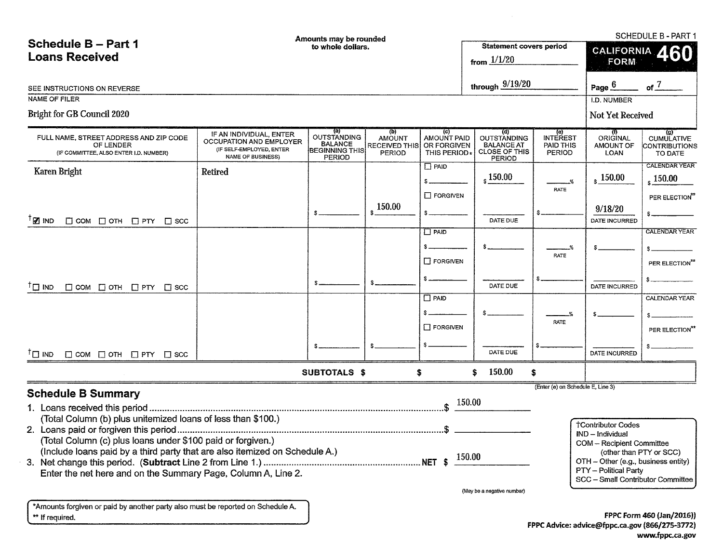|                                                                                               | SCHEDULE B - PART 1<br>Amounts may be rounded                                                                     |                                                                                |                                                                        |                                                   |                                                                                         |                                               |                                      |                                                                 |  |
|-----------------------------------------------------------------------------------------------|-------------------------------------------------------------------------------------------------------------------|--------------------------------------------------------------------------------|------------------------------------------------------------------------|---------------------------------------------------|-----------------------------------------------------------------------------------------|-----------------------------------------------|--------------------------------------|-----------------------------------------------------------------|--|
| Schedule B - Part 1                                                                           | to whole dollars.                                                                                                 |                                                                                |                                                                        |                                                   | <b>Statement covers period</b>                                                          |                                               |                                      |                                                                 |  |
| <b>Loans Received</b>                                                                         |                                                                                                                   |                                                                                |                                                                        |                                                   |                                                                                         |                                               | CALIFORNIA 460<br><b>FORM</b>        |                                                                 |  |
|                                                                                               |                                                                                                                   |                                                                                |                                                                        |                                                   | from $1/1/20$                                                                           |                                               |                                      |                                                                 |  |
| SEE INSTRUCTIONS ON REVERSE                                                                   |                                                                                                                   |                                                                                |                                                                        |                                                   | through $9/19/20$                                                                       |                                               | Page $6$                             | of $\overline{J}$                                               |  |
| NAME OF FILER                                                                                 |                                                                                                                   |                                                                                |                                                                        |                                                   |                                                                                         | <b>I.D. NUMBER</b>                            |                                      |                                                                 |  |
| Bright for GB Council 2020                                                                    |                                                                                                                   |                                                                                |                                                                        |                                                   |                                                                                         |                                               | Not Yet Received                     |                                                                 |  |
|                                                                                               |                                                                                                                   |                                                                                |                                                                        |                                                   |                                                                                         |                                               |                                      |                                                                 |  |
| FULL NAME, STREET ADDRESS AND ZIP CODE<br>OF LENDER<br>(IF COMMITTEE, ALSO ENTER I.D. NUMBER) | IF AN INDIVIDUAL, ENTER<br><b>OCCUPATION AND EMPLOYER</b><br>(IF SELF-EMPLOYED, ENTER<br><b>NAME OF BUSINESS)</b> | (a)<br>OUTSTANDING<br><b>BALANCE</b><br><b>BEGINNING THIS</b><br><b>PERIOD</b> | $\langle p \rangle$<br><b>AMOUNT</b><br><b>RECEIVED THIS</b><br>PERIOD | (c)<br>AMOUNT PAID<br>OR FORGIVEN<br>THIS PERIOD* | (d)<br><b>OUTSTANDING</b><br><b>BALANCE AT</b><br><b>CLOSE OF THIS</b><br><b>PERIOD</b> | (e)<br>INTEREST<br>PAID THIS<br><b>PERIOD</b> | ORIGINAL<br>AMOUNT OF<br><b>LOAN</b> | $\overline{g}$<br><b>CUMULATIVE</b><br>CONTRIBUTIONS<br>TO DATE |  |
| Karen Bright                                                                                  | Retired                                                                                                           |                                                                                |                                                                        | $\Box$ PAID                                       |                                                                                         |                                               |                                      | <b>CALENDAR YEAR</b>                                            |  |
|                                                                                               |                                                                                                                   |                                                                                |                                                                        | $s =$                                             | $_{\rm s}$ 150.00                                                                       | $\frac{9}{6}$                                 | $\frac{150.00}{5}$                   | $\frac{150.00}{ }$                                              |  |
|                                                                                               |                                                                                                                   |                                                                                |                                                                        | $\Box$ FORGIVEN                                   |                                                                                         | <b>RATE</b>                                   |                                      | PER ELECTION <sup>**</sup>                                      |  |
|                                                                                               |                                                                                                                   |                                                                                | 150.00                                                                 |                                                   |                                                                                         |                                               | 9/18/20                              |                                                                 |  |
| <sup>⊺</sup> ⊠ IND<br>$\Box$ COM $\Box$ OTH $\Box$ PTY $\Box$ SCC                             |                                                                                                                   |                                                                                |                                                                        |                                                   | DATE DUE                                                                                |                                               | DATE INCURRED                        |                                                                 |  |
|                                                                                               |                                                                                                                   |                                                                                |                                                                        | $\Box$ PAID                                       |                                                                                         |                                               |                                      | <b>CALENDAR YEAR</b>                                            |  |
|                                                                                               |                                                                                                                   |                                                                                |                                                                        | \$_                                               |                                                                                         |                                               |                                      |                                                                 |  |
|                                                                                               |                                                                                                                   |                                                                                |                                                                        |                                                   |                                                                                         | RATE                                          |                                      |                                                                 |  |
|                                                                                               |                                                                                                                   |                                                                                |                                                                        | $\Box$ FORGIVEN                                   |                                                                                         |                                               |                                      | PER ELECTION <sup>**</sup>                                      |  |
|                                                                                               |                                                                                                                   |                                                                                | \$.                                                                    |                                                   | DATE DUE                                                                                |                                               | <b>DATE INCURRED</b>                 |                                                                 |  |
| ™ ⊡ ™<br>$\Box$ COM $\Box$ OTH $\Box$ PTY $\Box$ SCC                                          |                                                                                                                   |                                                                                |                                                                        | $\Box$ PAID                                       |                                                                                         |                                               |                                      | CALENDAR YEAR                                                   |  |
|                                                                                               |                                                                                                                   |                                                                                |                                                                        |                                                   |                                                                                         |                                               |                                      |                                                                 |  |
|                                                                                               |                                                                                                                   |                                                                                |                                                                        |                                                   |                                                                                         | %<br>RATE                                     |                                      |                                                                 |  |
|                                                                                               |                                                                                                                   |                                                                                |                                                                        | $\Box$ FORGIVEN                                   |                                                                                         |                                               |                                      | PER ELECTION**                                                  |  |
|                                                                                               |                                                                                                                   |                                                                                |                                                                        |                                                   |                                                                                         |                                               |                                      |                                                                 |  |
| $T \Box$ IND $\Box$ COM $\Box$ OTH $\Box$ PTY $\Box$ SCC                                      |                                                                                                                   |                                                                                |                                                                        |                                                   | DATE DUE                                                                                |                                               | DATE INCURRED                        |                                                                 |  |
|                                                                                               |                                                                                                                   | <b>SUBTOTALS \$</b>                                                            |                                                                        | \$.                                               | 150.00<br>\$.                                                                           | \$                                            |                                      |                                                                 |  |
|                                                                                               |                                                                                                                   |                                                                                |                                                                        |                                                   |                                                                                         | (Enter (e) on Schedule E, Line 3)             |                                      |                                                                 |  |
| <b>Schedule B Summary</b>                                                                     |                                                                                                                   |                                                                                |                                                                        | $\int$ \$ 150.00                                  |                                                                                         |                                               |                                      |                                                                 |  |
|                                                                                               |                                                                                                                   |                                                                                |                                                                        |                                                   |                                                                                         |                                               |                                      |                                                                 |  |
| (Total Column (b) plus unitemized loans of less than \$100.)                                  |                                                                                                                   |                                                                                |                                                                        |                                                   |                                                                                         |                                               | <b>†Contributor Codes</b>            |                                                                 |  |
| (Total Column (c) plus loans under \$100 paid or forgiven.)                                   |                                                                                                                   |                                                                                |                                                                        |                                                   |                                                                                         |                                               | IND - Individual                     |                                                                 |  |
| (Include loans paid by a third party that are also itemized on Schedule A.)                   |                                                                                                                   |                                                                                |                                                                        |                                                   |                                                                                         |                                               | COM - Recipient Committee            | (other than PTY or SCC)                                         |  |
| 150.00<br>OTH - Other (e.g., business entity)                                                 |                                                                                                                   |                                                                                |                                                                        |                                                   |                                                                                         |                                               |                                      |                                                                 |  |
| Enter the net here and on the Summary Page, Column A, Line 2.                                 |                                                                                                                   |                                                                                |                                                                        |                                                   |                                                                                         |                                               | PTY - Political Party                |                                                                 |  |
|                                                                                               |                                                                                                                   |                                                                                |                                                                        |                                                   | (May be a negative number)                                                              |                                               | SCC - Small Contributor Committee    |                                                                 |  |
|                                                                                               |                                                                                                                   |                                                                                |                                                                        |                                                   |                                                                                         |                                               |                                      |                                                                 |  |
| *Amounts forgiven or paid by another party also must be reported on Schedule A.               |                                                                                                                   |                                                                                |                                                                        |                                                   |                                                                                         |                                               |                                      |                                                                 |  |
| ** If required.                                                                               |                                                                                                                   |                                                                                |                                                                        |                                                   |                                                                                         |                                               |                                      | FPPC Form 460 (Jan/2016))                                       |  |

FPPC Form 460 (Jan/2016)) FPPC Advice: advice@fppc.ca.gov (866/275-3772) www.fppc.ca.gov